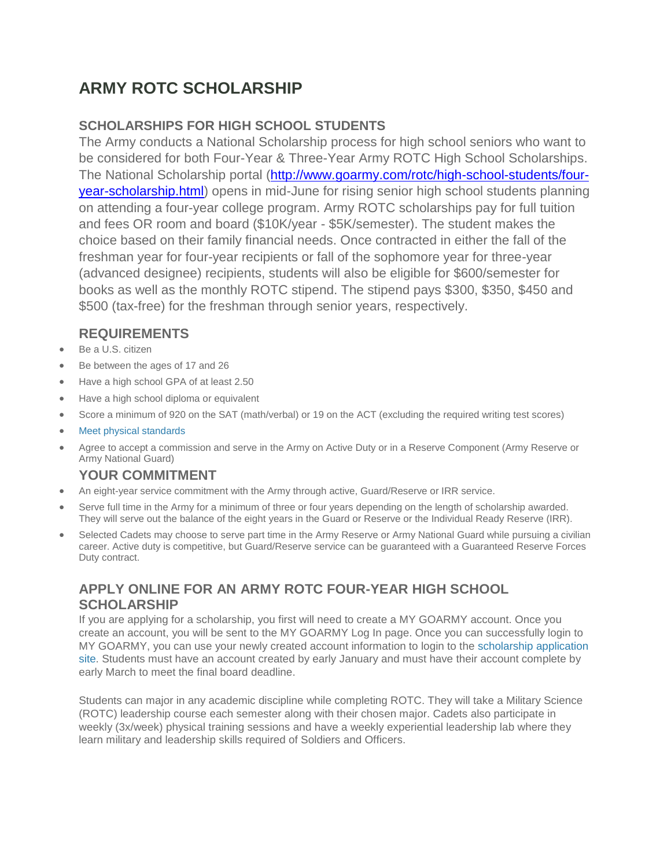# **ARMY ROTC SCHOLARSHIP**

## **SCHOLARSHIPS FOR HIGH SCHOOL STUDENTS**

The Army conducts a National Scholarship process for high school seniors who want to be considered for both Four-Year & Three-Year Army ROTC High School Scholarships. The National Scholarship portal [\(http://www.goarmy.com/rotc/high-school-students/four](http://www.goarmy.com/rotc/high-school-students/four-year-scholarship.html)[year-scholarship.html\)](http://www.goarmy.com/rotc/high-school-students/four-year-scholarship.html) opens in mid-June for rising senior high school students planning on attending a four-year college program. Army ROTC scholarships pay for full tuition and fees OR room and board (\$10K/year - \$5K/semester). The student makes the choice based on their family financial needs. Once contracted in either the fall of the freshman year for four-year recipients or fall of the sophomore year for three-year (advanced designee) recipients, students will also be eligible for \$600/semester for books as well as the monthly ROTC stipend. The stipend pays \$300, \$350, \$450 and \$500 (tax-free) for the freshman through senior years, respectively.

# **REQUIREMENTS**

- Be a U.S. citizen
- Be between the ages of 17 and 26
- Have a high school GPA of at least 2.50
- Have a high school diploma or equivalent
- Score a minimum of 920 on the SAT (math/verbal) or 19 on the ACT (excluding the required writing test scores)
- Meet physical [standards](http://www.goarmy.com/content/dam/goarmy/downloaded_assets/pdfs/hs-scholarship-physical-assessment-17.pdf)
- Agree to accept a commission and serve in the Army on Active Duty or in a Reserve Component (Army Reserve or Army National Guard)

### **YOUR COMMITMENT**

- An eight-year service commitment with the Army through active, Guard/Reserve or IRR service.
- Serve full time in the Army for a minimum of three or four years depending on the length of scholarship awarded. They will serve out the balance of the eight years in the Guard or Reserve or the Individual Ready Reserve (IRR).
- Selected Cadets may choose to serve part time in the Army Reserve or Army National Guard while pursuing a civilian career. Active duty is competitive, but Guard/Reserve service can be guaranteed with a Guaranteed Reserve Forces Duty contract.

### **APPLY ONLINE FOR AN ARMY ROTC FOUR-YEAR HIGH SCHOOL SCHOLARSHIP**

If you are applying for a scholarship, you first will need to create a MY GOARMY account. Once you create an account, you will be sent to the MY GOARMY Log In page. Once you can successfully login to MY GOARMY, you can use your newly created account information to login to the [scholarship](https://hs.usarmyrotc.com/) application [site.](https://hs.usarmyrotc.com/) Students must have an account created by early January and must have their account complete by early March to meet the final board deadline.

Students can major in any academic discipline while completing ROTC. They will take a Military Science (ROTC) leadership course each semester along with their chosen major. Cadets also participate in weekly (3x/week) physical training sessions and have a weekly experiential leadership lab where they learn military and leadership skills required of Soldiers and Officers.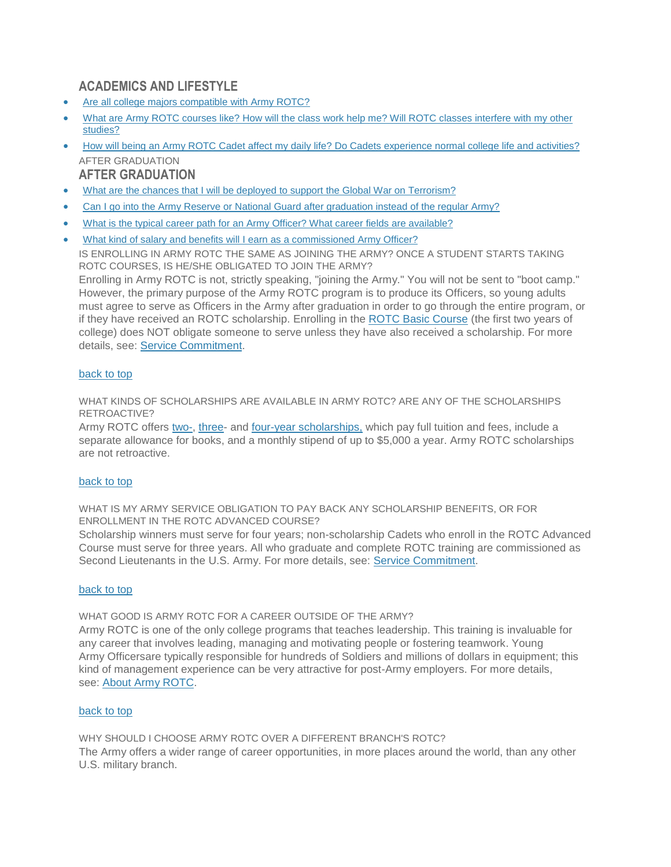### **ACADEMICS AND LIFESTYLE**

- Are all college majors [compatible](http://www.goarmy.com/rotc/high-school-students/faq.html#Areall) with Army ROTC?
- What are Army ROTC courses like? How will the class work help me? Will ROTC classes [interfere](http://www.goarmy.com/rotc/high-school-students/faq.html#Whatare) with my other [studies?](http://www.goarmy.com/rotc/high-school-students/faq.html#Whatare)
- How will being an Army ROTC Cadet affect my daily life? Do Cadets [experience](http://www.goarmy.com/rotc/high-school-students/faq.html#Howwill) normal college life and activities? AFTER GRADUATION

### **AFTER GRADUATION**

- What are the chances that I will be deployed to support the Global War on [Terrorism?](http://www.goarmy.com/rotc/high-school-students/faq.html#Whatarethe)
- Can I go into the Army Reserve or National Guard after [graduation](http://www.goarmy.com/rotc/high-school-students/faq.html#CanI) instead of the regular Army?
- What is the typical career path for an Army Officer? What career fields are [available?](http://www.goarmy.com/rotc/high-school-students/faq.html#Whatisthe)
- What kind of salary and benefits will I earn as a [commissioned](http://www.goarmy.com/rotc/high-school-students/faq.html#Whatkindof) Army Officer?

IS ENROLLING IN ARMY ROTC THE SAME AS JOINING THE ARMY? ONCE A STUDENT STARTS TAKING ROTC COURSES, IS HE/SHE OBLIGATED TO JOIN THE ARMY?

Enrolling in Army ROTC is not, strictly speaking, "joining the Army." You will not be sent to "boot camp." However, the primary purpose of the Army ROTC program is to produce its Officers, so young adults must agree to serve as Officers in the Army after graduation in order to go through the entire program, or if they have received an ROTC scholarship. Enrolling in the ROTC Basic [Course](http://www.goarmy.com/rotc/courses-and-colleges/curriculum/basic-course.html) (the first two years of college) does NOT obligate someone to serve unless they have also received a scholarship. For more details, see: Service [Commitment.](http://www.goarmy.com/rotc/service-commitment.html)

### [back](http://www.goarmy.com/rotc/high-school-students/faq.html#content_top) to top

WHAT KINDS OF SCHOLARSHIPS ARE AVAILABLE IN ARMY ROTC? ARE ANY OF THE SCHOLARSHIPS RETROACTIVE?

Army ROTC offers [two-,](http://www.goarmy.com/rotc/college-students/two-year-scholarships.html) [three-](http://www.goarmy.com/rotc/college-students/three-year-scholarships.html) and four-year [scholarships,](http://www.goarmy.com/rotc/college-students/four-year-scholarships.html) which pay full tuition and fees, include a separate allowance for books, and a monthly stipend of up to \$5,000 a year. Army ROTC scholarships are not retroactive.

### [back](http://www.goarmy.com/rotc/high-school-students/faq.html#content_top) to top

WHAT IS MY ARMY SERVICE OBLIGATION TO PAY BACK ANY SCHOLARSHIP BENEFITS, OR FOR ENROLLMENT IN THE ROTC ADVANCED COURSE?

Scholarship winners must serve for four years; non-scholarship Cadets who enroll in the ROTC Advanced Course must serve for three years. All who graduate and complete ROTC training are commissioned as Second Lieutenants in the U.S. Army. For more details, see: Service [Commitment.](http://www.goarmy.com/rotc/service-commitment.html)

#### [back](http://www.goarmy.com/rotc/high-school-students/faq.html#content_top) to top

WHAT GOOD IS ARMY ROTC FOR A CAREER OUTSIDE OF THE ARMY?

Army ROTC is one of the only college programs that teaches leadership. This training is invaluable for any career that involves leading, managing and motivating people or fostering teamwork. Young Army Officersare typically responsible for hundreds of Soldiers and millions of dollars in equipment; this kind of management experience can be very attractive for post-Army employers. For more details, see: About Army [ROTC.](http://www.goarmy.com/rotc.html)

#### [back](http://www.goarmy.com/rotc/high-school-students/faq.html#content_top) to top

WHY SHOULD I CHOOSE ARMY ROTC OVER A DIFFERENT BRANCH'S ROTC? The Army offers a wider range of career opportunities, in more places around the world, than any other U.S. military branch.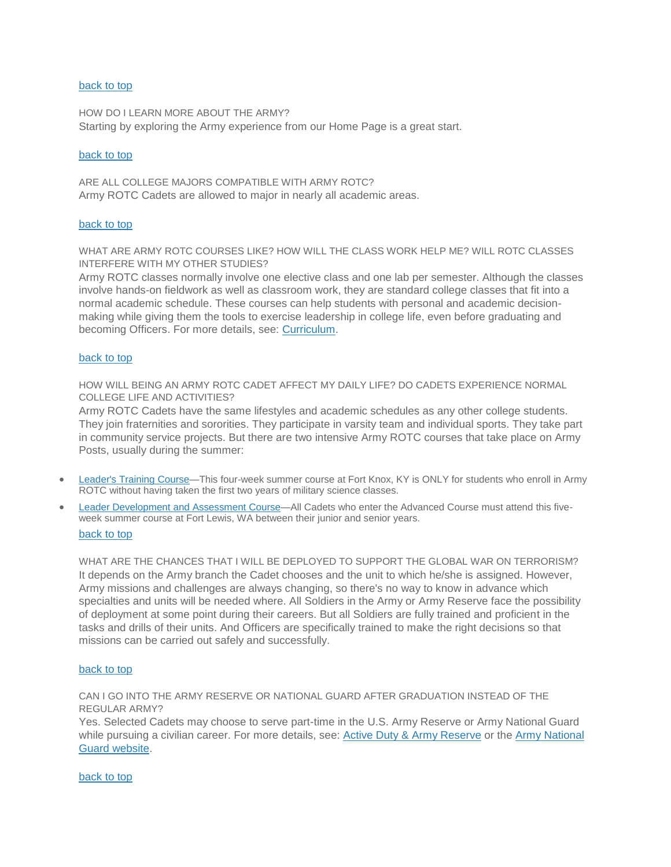#### [back](http://www.goarmy.com/rotc/high-school-students/faq.html#content_top) to top

HOW DO I LEARN MORE ABOUT THE ARMY? Starting by exploring the Army experience from our Home Page is a great start.

#### [back](http://www.goarmy.com/rotc/high-school-students/faq.html#content_top) to top

ARE ALL COLLEGE MAJORS COMPATIBLE WITH ARMY ROTC? Army ROTC Cadets are allowed to major in nearly all academic areas.

#### [back](http://www.goarmy.com/rotc/high-school-students/faq.html#content_top) to top

WHAT ARE ARMY ROTC COURSES LIKE? HOW WILL THE CLASS WORK HELP ME? WILL ROTC CLASSES INTERFERE WITH MY OTHER STUDIES?

Army ROTC classes normally involve one elective class and one lab per semester. Although the classes involve hands-on fieldwork as well as classroom work, they are standard college classes that fit into a normal academic schedule. These courses can help students with personal and academic decisionmaking while giving them the tools to exercise leadership in college life, even before graduating and becoming Officers. For more details, see: [Curriculum.](http://www.goarmy.com/rotc/courses-and-colleges/curriculum.html)

#### [back](http://www.goarmy.com/rotc/high-school-students/faq.html#content_top) to top

HOW WILL BEING AN ARMY ROTC CADET AFFECT MY DAILY LIFE? DO CADETS EXPERIENCE NORMAL COLLEGE LIFE AND ACTIVITIES?

Army ROTC Cadets have the same lifestyles and academic schedules as any other college students. They join fraternities and sororities. They participate in varsity team and individual sports. They take part in community service projects. But there are two intensive Army ROTC courses that take place on Army Posts, usually during the summer:

- [Leader's](http://www.goarmy.com/rotc/courses-and-colleges/curriculum/cadet-initial-entry-training.html) Training Course—This four-week summer course at Fort Knox, KY is ONLY for students who enroll in Army ROTC without having taken the first two years of military science classes.
- Leader [Development](http://www.goarmy.com/rotc/courses-and-colleges/curriculum/cadet-leadership-course.html) and Assessment Course—All Cadets who enter the Advanced Course must attend this fiveweek summer course at Fort Lewis, WA between their junior and senior years. [back](http://www.goarmy.com/rotc/high-school-students/faq.html#content_top) to top

WHAT ARE THE CHANCES THAT I WILL BE DEPLOYED TO SUPPORT THE GLOBAL WAR ON TERRORISM? It depends on the Army branch the Cadet chooses and the unit to which he/she is assigned. However, Army missions and challenges are always changing, so there's no way to know in advance which specialties and units will be needed where. All Soldiers in the Army or Army Reserve face the possibility of deployment at some point during their careers. But all Soldiers are fully trained and proficient in the tasks and drills of their units. And Officers are specifically trained to make the right decisions so that missions can be carried out safely and successfully.

#### [back](http://www.goarmy.com/rotc/high-school-students/faq.html#content_top) to top

CAN I GO INTO THE ARMY RESERVE OR NATIONAL GUARD AFTER GRADUATION INSTEAD OF THE REGULAR ARMY?

Yes. Selected Cadets may choose to serve part-time in the U.S. Army Reserve or Army National Guard while pursuing a civilian career. For more details, see: Active Duty & Army [Reserve](http://www.goarmy.com/about/serving-in-the-army.html) or the Army [National](http://www.1800goguard.com/) Guard [website.](http://www.1800goguard.com/)

[back](http://www.goarmy.com/rotc/high-school-students/faq.html#content_top) to top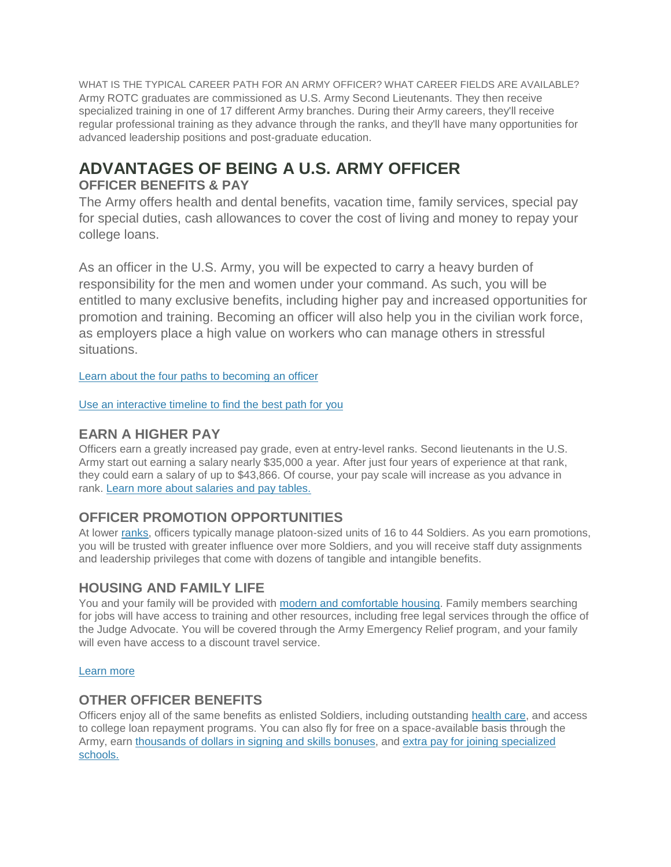WHAT IS THE TYPICAL CAREER PATH FOR AN ARMY OFFICER? WHAT CAREER FIELDS ARE AVAILABLE? Army ROTC graduates are commissioned as U.S. Army Second Lieutenants. They then receive specialized training in one of 17 different Army branches. During their Army careers, they'll receive regular professional training as they advance through the ranks, and they'll have many opportunities for advanced leadership positions and post-graduate education.

# **ADVANTAGES OF BEING A U.S. ARMY OFFICER**

## **OFFICER BENEFITS & PAY**

The Army offers health and dental benefits, vacation time, family services, special pay for special duties, cash allowances to cover the cost of living and money to repay your college loans.

As an officer in the U.S. Army, you will be expected to carry a heavy burden of responsibility for the men and women under your command. As such, you will be entitled to many exclusive benefits, including higher pay and increased opportunities for promotion and training. Becoming an officer will also help you in the civilian work force, as employers place a high value on workers who can manage others in stressful situations.

Learn about the four paths to [becoming](http://www.goarmy.com/careers-and-jobs/become-an-officer/how-to-become-an-officer-in-the-army.html) an officer

Use an [interactive](http://www.goarmy.com/careers-and-jobs/become-an-officer/becoming-an-army-officer.html) timeline to find the best path for you

### **EARN A HIGHER PAY**

Officers earn a greatly increased pay grade, even at entry-level ranks. Second lieutenants in the U.S. Army start out earning a salary nearly \$35,000 a year. After just four years of experience at that rank, they could earn a salary of up to \$43,866. Of course, your pay scale will increase as you advance in rank. Learn more about [salaries](http://www.goarmy.com/benefits/money.html) and pay tables.

# **OFFICER PROMOTION OPPORTUNITIES**

At lower [ranks,](http://www.goarmy.com/about/ranks-and-insignia.html) officers typically manage platoon-sized units of 16 to 44 Soldiers. As you earn promotions, you will be trusted with greater influence over more Soldiers, and you will receive staff duty assignments and leadership privileges that come with dozens of tangible and intangible benefits.

### **HOUSING AND FAMILY LIFE**

You and your family will be provided with modern and [comfortable](http://www.goarmy.com/benefits/money/allowances-covering-the-cost-of-living.html) housing. Family members searching for jobs will have access to training and other resources, including free legal services through the office of the Judge Advocate. You will be covered through the Army Emergency Relief program, and your family will even have access to a discount travel service.

### [Learn](http://www.goarmy.com/soldier-life/being-a-soldier/housing/family-housing.html) more

### **OTHER OFFICER BENEFITS**

Officers enjoy all of the same benefits as enlisted Soldiers, including outstanding [health](http://www.goarmy.com/benefits/health-care-vacation.html) care, and access to college loan repayment programs. You can also fly for free on a space-available basis through the Army, earn [thousands](http://www.goarmy.com/benefits/money/bonuses-earning-extra-money.html) of dollars in signing and skills bonuses, and extra pay for joining [specialized](http://www.goarmy.com/benefits/money/special-pay-for-special-duties-and-skills.html) [schools.](http://www.goarmy.com/benefits/money/special-pay-for-special-duties-and-skills.html)